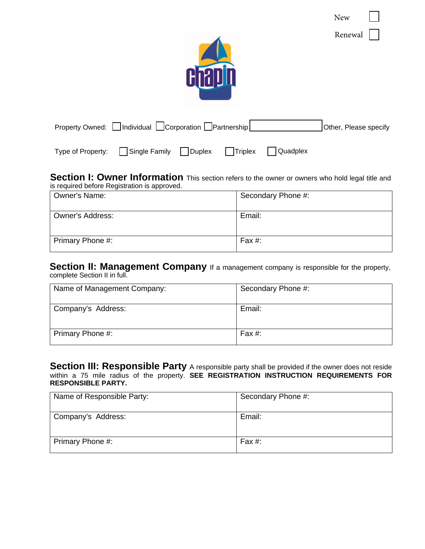| ۸Τ۸<br>. T<br>↩ |  |
|-----------------|--|
|-----------------|--|

Renewal



| Property Owned: <i>□</i> Individual <i>□</i> Corporation □Partnership |  |  | Other, Please specify |
|-----------------------------------------------------------------------|--|--|-----------------------|
|                                                                       |  |  |                       |

Type of Property: Single Family Duplex Triplex Quadplex

**Section I: Owner Information** This section refers to the owner or owners who hold legal title and is required before Registration is approved.

| <b>Owner's Name:</b> | Secondary Phone #: |
|----------------------|--------------------|
| Owner's Address:     | Email:             |
| Primary Phone #:     | Fax #:             |

**Section II: Management Company** If a management company is responsible for the property, complete Section II in full.

| Name of Management Company: | Secondary Phone #: |
|-----------------------------|--------------------|
| Company's Address:          | Email:             |
| Primary Phone #:            | Fax $#$ :          |

**Section III: Responsible Party** A responsible party shall be provided if the owner does not reside within a 75 mile radius of the property. **SEE REGISTRATION INSTRUCTION REQUIREMENTS FOR RESPONSIBLE PARTY.** 

| Name of Responsible Party: | Secondary Phone #: |
|----------------------------|--------------------|
| Company's Address:         | Email:             |
| Primary Phone #:           | Fax $#$ :          |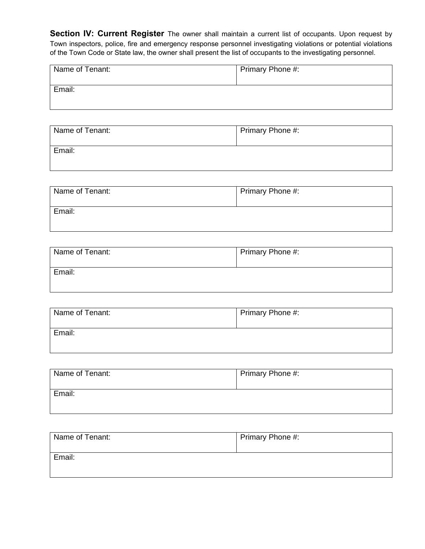**Section IV: Current Register** The owner shall maintain a current list of occupants. Upon request by Town inspectors, police, fire and emergency response personnel investigating violations or potential violations of the Town Code or State law, the owner shall present the list of occupants to the investigating personnel.

| Name of Tenant: | Primary Phone #: |
|-----------------|------------------|
| Email:          |                  |

| Name of Tenant: | Primary Phone #: |
|-----------------|------------------|
| Email:          |                  |

| Name of Tenant: | Primary Phone #: |
|-----------------|------------------|
| Email:          |                  |

| Name of Tenant: | Primary Phone #: |
|-----------------|------------------|
| Email:          |                  |
|                 |                  |

| Name of Tenant: | Primary Phone #: |
|-----------------|------------------|
| Email:          |                  |

| Name of Tenant: | Primary Phone #: |
|-----------------|------------------|
| Email:          |                  |

| Name of Tenant: | Primary Phone #: |
|-----------------|------------------|
| Email:          |                  |